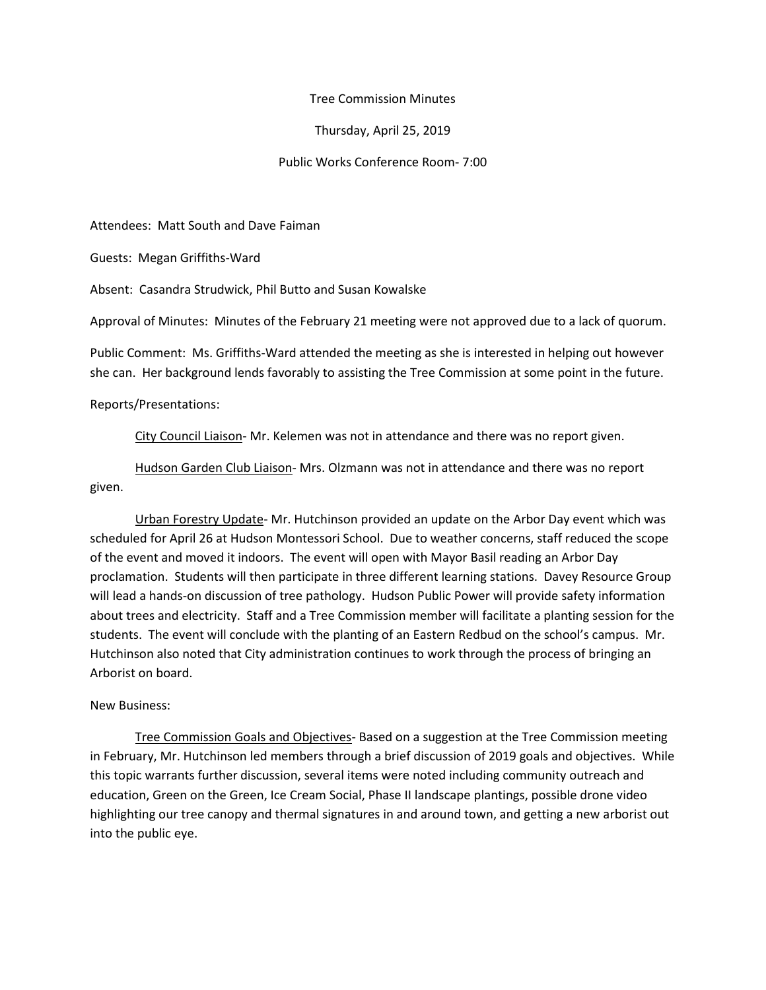## Tree Commission Minutes

## Thursday, April 25, 2019

## Public Works Conference Room- 7:00

Attendees: Matt South and Dave Faiman

Guests: Megan Griffiths-Ward

Absent: Casandra Strudwick, Phil Butto and Susan Kowalske

Approval of Minutes: Minutes of the February 21 meeting were not approved due to a lack of quorum.

Public Comment: Ms. Griffiths-Ward attended the meeting as she is interested in helping out however she can. Her background lends favorably to assisting the Tree Commission at some point in the future.

Reports/Presentations:

City Council Liaison- Mr. Kelemen was not in attendance and there was no report given.

Hudson Garden Club Liaison- Mrs. Olzmann was not in attendance and there was no report given.

Urban Forestry Update- Mr. Hutchinson provided an update on the Arbor Day event which was scheduled for April 26 at Hudson Montessori School. Due to weather concerns, staff reduced the scope of the event and moved it indoors. The event will open with Mayor Basil reading an Arbor Day proclamation. Students will then participate in three different learning stations. Davey Resource Group will lead a hands-on discussion of tree pathology. Hudson Public Power will provide safety information about trees and electricity. Staff and a Tree Commission member will facilitate a planting session for the students. The event will conclude with the planting of an Eastern Redbud on the school's campus. Mr. Hutchinson also noted that City administration continues to work through the process of bringing an Arborist on board.

## New Business:

Tree Commission Goals and Objectives- Based on a suggestion at the Tree Commission meeting in February, Mr. Hutchinson led members through a brief discussion of 2019 goals and objectives. While this topic warrants further discussion, several items were noted including community outreach and education, Green on the Green, Ice Cream Social, Phase II landscape plantings, possible drone video highlighting our tree canopy and thermal signatures in and around town, and getting a new arborist out into the public eye.